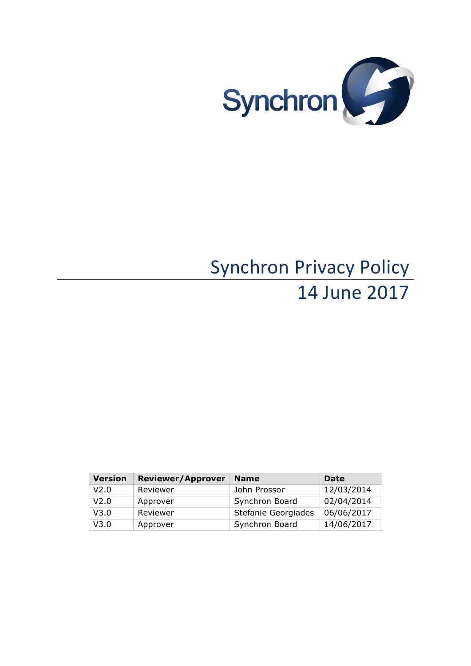

# Synchron Privacy Policy 14 June 2017

| <b>Version</b> | <b>Reviewer/Approver</b> | <b>Name</b>         | <b>Date</b> |
|----------------|--------------------------|---------------------|-------------|
| V2.0           | Reviewer                 | John Prossor        | 12/03/2014  |
| V2.0           | Approver                 | Synchron Board      | 02/04/2014  |
| V3.0           | Reviewer                 | Stefanie Georgiades | 06/06/2017  |
| V3.0           | Approver                 | Synchron Board      | 14/06/2017  |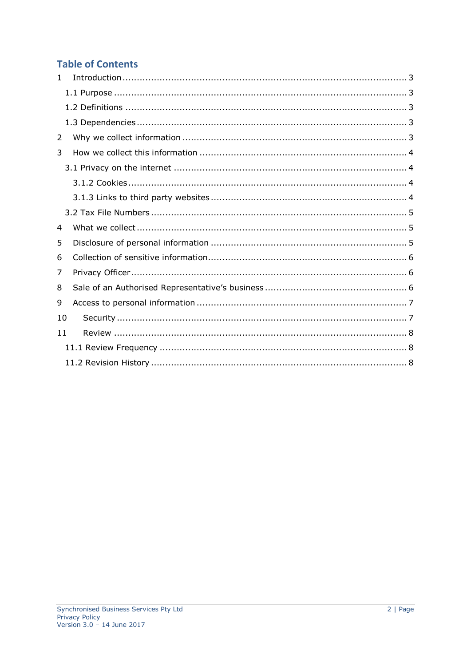# **Table of Contents**

| 1  |  |
|----|--|
|    |  |
|    |  |
|    |  |
| 2  |  |
| 3  |  |
|    |  |
|    |  |
|    |  |
|    |  |
| 4  |  |
| 5  |  |
| 6  |  |
| 7  |  |
| 8  |  |
| 9  |  |
| 10 |  |
| 11 |  |
|    |  |
|    |  |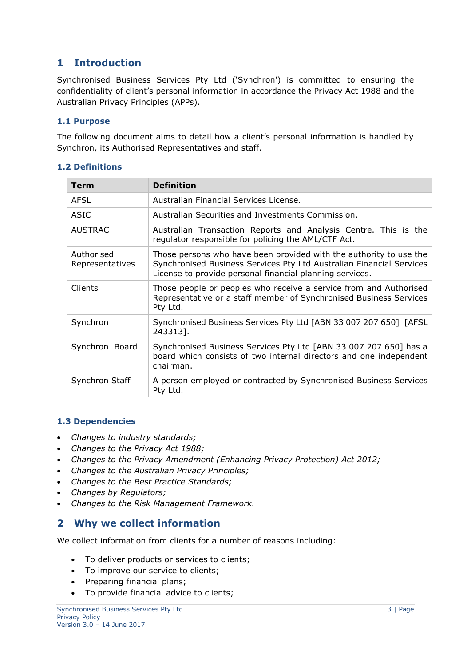# <span id="page-2-0"></span>**1 Introduction**

Synchronised Business Services Pty Ltd ('Synchron') is committed to ensuring the confidentiality of client's personal information in accordance the Privacy Act 1988 and the Australian Privacy Principles (APPs).

## <span id="page-2-1"></span>**1.1 Purpose**

The following document aims to detail how a client's personal information is handled by Synchron, its Authorised Representatives and staff.

## <span id="page-2-2"></span>**1.2 Definitions**

| <b>Term</b>                   | <b>Definition</b>                                                                                                                                                                                      |
|-------------------------------|--------------------------------------------------------------------------------------------------------------------------------------------------------------------------------------------------------|
| <b>AFSL</b>                   | Australian Financial Services License.                                                                                                                                                                 |
| ASIC                          | Australian Securities and Investments Commission.                                                                                                                                                      |
| <b>AUSTRAC</b>                | Australian Transaction Reports and Analysis Centre. This is the<br>regulator responsible for policing the AML/CTF Act.                                                                                 |
| Authorised<br>Representatives | Those persons who have been provided with the authority to use the<br>Synchronised Business Services Pty Ltd Australian Financial Services<br>License to provide personal financial planning services. |
| <b>Clients</b>                | Those people or peoples who receive a service from and Authorised<br>Representative or a staff member of Synchronised Business Services<br>Pty Ltd.                                                    |
| Synchron                      | Synchronised Business Services Pty Ltd [ABN 33 007 207 650] [AFSL<br>243313].                                                                                                                          |
| Synchron Board                | Synchronised Business Services Pty Ltd [ABN 33 007 207 650] has a<br>board which consists of two internal directors and one independent<br>chairman.                                                   |
| Synchron Staff                | A person employed or contracted by Synchronised Business Services<br>Pty Ltd.                                                                                                                          |

## <span id="page-2-3"></span>**1.3 Dependencies**

- *Changes to industry standards;*
- *Changes to the Privacy Act 1988;*
- *Changes to the Privacy Amendment (Enhancing Privacy Protection) Act 2012;*
- *Changes to the Australian Privacy Principles;*
- *Changes to the Best Practice Standards;*
- *Changes by Regulators;*
- *Changes to the Risk Management Framework.*

## <span id="page-2-4"></span>**2 Why we collect information**

We collect information from clients for a number of reasons including:

- To deliver products or services to clients;
- To improve our service to clients;
- Preparing financial plans;
- To provide financial advice to clients;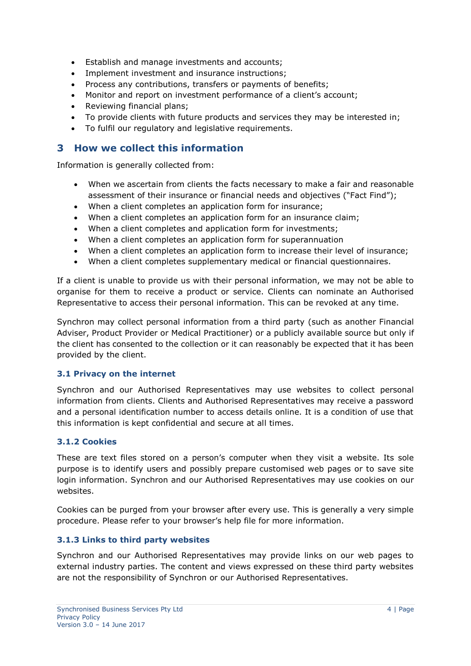- Establish and manage investments and accounts;
- Implement investment and insurance instructions;
- Process any contributions, transfers or payments of benefits;
- Monitor and report on investment performance of a client's account;
- Reviewing financial plans;
- To provide clients with future products and services they may be interested in;
- To fulfil our regulatory and legislative requirements.

## <span id="page-3-0"></span>**3 How we collect this information**

Information is generally collected from:

- When we ascertain from clients the facts necessary to make a fair and reasonable assessment of their insurance or financial needs and objectives ("Fact Find");
- When a client completes an application form for insurance;
- When a client completes an application form for an insurance claim;
- When a client completes and application form for investments;
- When a client completes an application form for superannuation
- When a client completes an application form to increase their level of insurance;
- When a client completes supplementary medical or financial questionnaires.

If a client is unable to provide us with their personal information, we may not be able to organise for them to receive a product or service. Clients can nominate an Authorised Representative to access their personal information. This can be revoked at any time.

Synchron may collect personal information from a third party (such as another Financial Adviser, Product Provider or Medical Practitioner) or a publicly available source but only if the client has consented to the collection or it can reasonably be expected that it has been provided by the client.

## <span id="page-3-1"></span>**3.1 Privacy on the internet**

Synchron and our Authorised Representatives may use websites to collect personal information from clients. Clients and Authorised Representatives may receive a password and a personal identification number to access details online. It is a condition of use that this information is kept confidential and secure at all times.

## <span id="page-3-2"></span>**3.1.2 Cookies**

These are text files stored on a person's computer when they visit a website. Its sole purpose is to identify users and possibly prepare customised web pages or to save site login information. Synchron and our Authorised Representatives may use cookies on our websites.

Cookies can be purged from your browser after every use. This is generally a very simple procedure. Please refer to your browser's help file for more information.

## <span id="page-3-3"></span>**3.1.3 Links to third party websites**

Synchron and our Authorised Representatives may provide links on our web pages to external industry parties. The content and views expressed on these third party websites are not the responsibility of Synchron or our Authorised Representatives.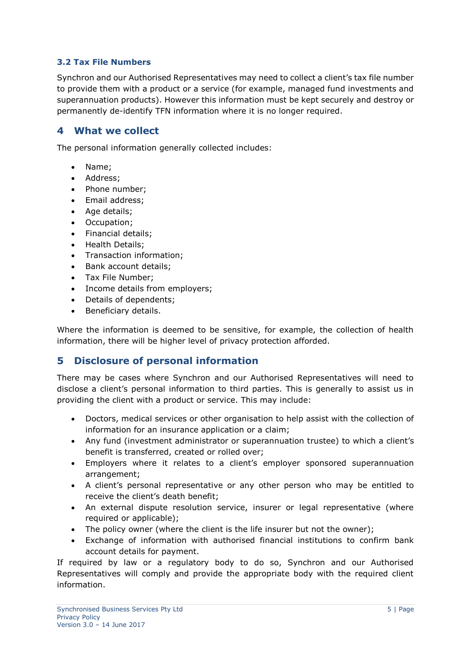## <span id="page-4-0"></span>**3.2 Tax File Numbers**

Synchron and our Authorised Representatives may need to collect a client's tax file number to provide them with a product or a service (for example, managed fund investments and superannuation products). However this information must be kept securely and destroy or permanently de-identify TFN information where it is no longer required.

## <span id="page-4-1"></span>**4 What we collect**

The personal information generally collected includes:

- Name;
- Address;
- Phone number:
- Email address:
- Age details;
- Occupation:
- Financial details:
- Health Details;
- Transaction information;
- Bank account details;
- Tax File Number:
- Income details from employers;
- Details of dependents:
- Beneficiary details.

Where the information is deemed to be sensitive, for example, the collection of health information, there will be higher level of privacy protection afforded.

# <span id="page-4-2"></span>**5 Disclosure of personal information**

There may be cases where Synchron and our Authorised Representatives will need to disclose a client's personal information to third parties. This is generally to assist us in providing the client with a product or service. This may include:

- Doctors, medical services or other organisation to help assist with the collection of information for an insurance application or a claim;
- Any fund (investment administrator or superannuation trustee) to which a client's benefit is transferred, created or rolled over;
- Employers where it relates to a client's employer sponsored superannuation arrangement;
- A client's personal representative or any other person who may be entitled to receive the client's death benefit;
- An external dispute resolution service, insurer or legal representative (where required or applicable);
- The policy owner (where the client is the life insurer but not the owner);
- Exchange of information with authorised financial institutions to confirm bank account details for payment.

If required by law or a regulatory body to do so, Synchron and our Authorised Representatives will comply and provide the appropriate body with the required client information.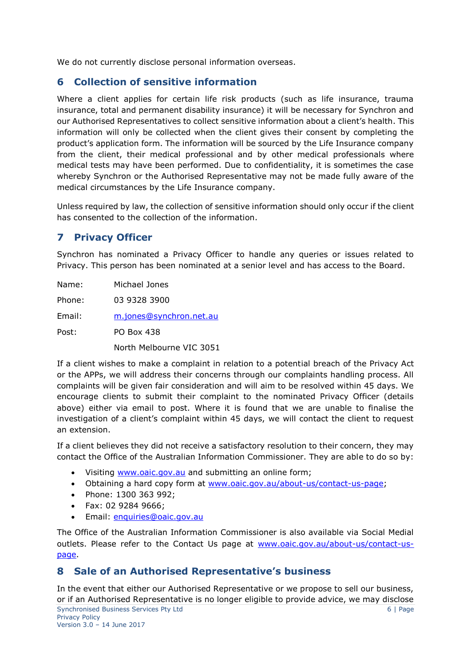We do not currently disclose personal information overseas.

# <span id="page-5-0"></span>**6 Collection of sensitive information**

Where a client applies for certain life risk products (such as life insurance, trauma insurance, total and permanent disability insurance) it will be necessary for Synchron and our Authorised Representatives to collect sensitive information about a client's health. This information will only be collected when the client gives their consent by completing the product's application form. The information will be sourced by the Life Insurance company from the client, their medical professional and by other medical professionals where medical tests may have been performed. Due to confidentiality, it is sometimes the case whereby Synchron or the Authorised Representative may not be made fully aware of the medical circumstances by the Life Insurance company.

Unless required by law, the collection of sensitive information should only occur if the client has consented to the collection of the information.

# <span id="page-5-1"></span>**7 Privacy Officer**

Synchron has nominated a Privacy Officer to handle any queries or issues related to Privacy. This person has been nominated at a senior level and has access to the Board.

Name: Michael Jones Phone: 03 9328 3900 Email: [m.jones@synchron.net.au](mailto:m.jones@synchron.net.au) Post: PO Box 438

North Melbourne VIC 3051

If a client wishes to make a complaint in relation to a potential breach of the Privacy Act or the APPs, we will address their concerns through our complaints handling process. All complaints will be given fair consideration and will aim to be resolved within 45 days. We encourage clients to submit their complaint to the nominated Privacy Officer (details above) either via email to post. Where it is found that we are unable to finalise the investigation of a client's complaint within 45 days, we will contact the client to request an extension.

If a client believes they did not receive a satisfactory resolution to their concern, they may contact the Office of the Australian Information Commissioner. They are able to do so by:

- Visiting [www.oaic.gov.au](http://www.oaic.gov.au/) and submitting an online form;
- Obtaining a hard copy form at [www.oaic.gov.au/about-us/contact-us-page;](http://www.oaic.gov.au/about-us/contact-us-page)
- Phone: 1300 363 992;
- Fax: 02 9284 9666;
- Email: [enquiries@oaic.gov.au](mailto:enquiries@oaic.gov.au)

The Office of the Australian Information Commissioner is also available via Social Medial outlets. Please refer to the Contact Us page at [www.oaic.gov.au/about-us/contact-us](http://www.oaic.gov.au/about-us/contact-us-page)[page.](http://www.oaic.gov.au/about-us/contact-us-page)

## <span id="page-5-2"></span>**8 Sale of an Authorised Representative's business**

Synchronised Business Services Pty Ltd 6 | Page 6 | Page 6 | Page 6 | Page 6 | Page 6 | Page 6 | Page 6 | Page 6 | Page 6 | Page 6 | Page 6 | Page 6 | Page 6 | Page 6 | Page 6 | Page 6 | Page 6 | Page 6 | Page 6 | Page 6 | Privacy Policy Version 3.0 – 14 June 2017 In the event that either our Authorised Representative or we propose to sell our business, or if an Authorised Representative is no longer eligible to provide advice, we may disclose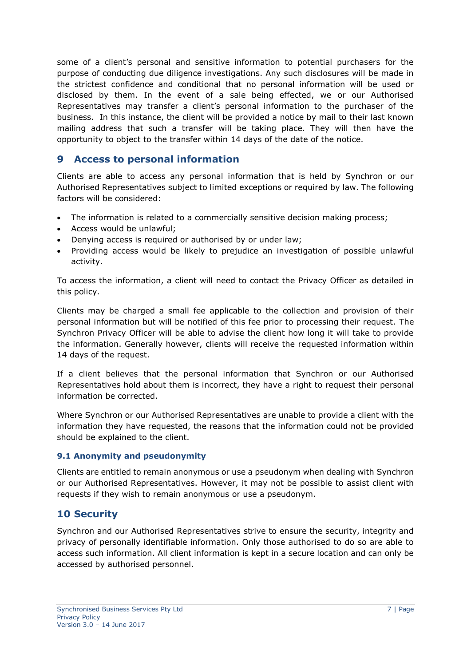some of a client's personal and sensitive information to potential purchasers for the purpose of conducting due diligence investigations. Any such disclosures will be made in the strictest confidence and conditional that no personal information will be used or disclosed by them. In the event of a sale being effected, we or our Authorised Representatives may transfer a client's personal information to the purchaser of the business. In this instance, the client will be provided a notice by mail to their last known mailing address that such a transfer will be taking place. They will then have the opportunity to object to the transfer within 14 days of the date of the notice.

## <span id="page-6-0"></span>**9 Access to personal information**

Clients are able to access any personal information that is held by Synchron or our Authorised Representatives subject to limited exceptions or required by law. The following factors will be considered:

- The information is related to a commercially sensitive decision making process;
- Access would be unlawful:
- Denying access is required or authorised by or under law;
- Providing access would be likely to prejudice an investigation of possible unlawful activity.

To access the information, a client will need to contact the Privacy Officer as detailed in this policy.

Clients may be charged a small fee applicable to the collection and provision of their personal information but will be notified of this fee prior to processing their request. The Synchron Privacy Officer will be able to advise the client how long it will take to provide the information. Generally however, clients will receive the requested information within 14 days of the request.

If a client believes that the personal information that Synchron or our Authorised Representatives hold about them is incorrect, they have a right to request their personal information be corrected.

Where Synchron or our Authorised Representatives are unable to provide a client with the information they have requested, the reasons that the information could not be provided should be explained to the client.

## **9.1 Anonymity and pseudonymity**

Clients are entitled to remain anonymous or use a pseudonym when dealing with Synchron or our Authorised Representatives. However, it may not be possible to assist client with requests if they wish to remain anonymous or use a pseudonym.

## <span id="page-6-1"></span>**10 Security**

Synchron and our Authorised Representatives strive to ensure the security, integrity and privacy of personally identifiable information. Only those authorised to do so are able to access such information. All client information is kept in a secure location and can only be accessed by authorised personnel.